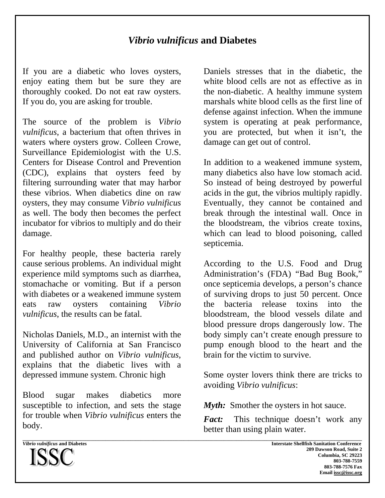## *Vibrio vulnificus* **and Diabetes**

\_\_\_\_\_\_\_\_\_\_\_\_\_\_\_\_\_\_\_\_\_\_\_\_\_\_\_\_\_\_\_\_\_\_\_\_\_\_\_\_\_\_\_\_\_\_\_\_\_\_\_\_\_\_\_\_\_\_\_\_\_\_\_\_\_\_\_\_\_\_\_\_\_\_\_\_\_\_\_\_\_\_\_\_\_\_\_\_\_\_\_\_\_\_\_\_\_\_\_\_\_\_\_\_\_\_\_\_\_\_\_\_\_\_\_\_\_\_\_\_\_\_\_\_\_\_\_\_\_\_\_\_\_\_\_

If you are a diabetic who loves oysters, enjoy eating them but be sure they are thoroughly cooked. Do not eat raw oysters. If you do, you are asking for trouble.

The source of the problem is *Vibrio vulnificus*, a bacterium that often thrives in waters where oysters grow. Colleen Crowe, Surveillance Epidemiologist with the U.S. Centers for Disease Control and Prevention (CDC), explains that oysters feed by filtering surrounding water that may harbor these vibrios. When diabetics dine on raw oysters, they may consume *Vibrio vulnificus* as well. The body then becomes the perfect incubator for vibrios to multiply and do their damage.

For healthy people, these bacteria rarely cause serious problems. An individual might experience mild symptoms such as diarrhea, stomachache or vomiting. But if a person with diabetes or a weakened immune system eats raw oysters containing *Vibrio vulnificus*, the results can be fatal.

Nicholas Daniels, M.D., an internist with the University of California at San Francisco and published author on *Vibrio vulnificus*, explains that the diabetic lives with a depressed immune system. Chronic high

Blood sugar makes diabetics more susceptible to infection, and sets the stage for trouble when *Vibrio vulnificus* enters the body.

Daniels stresses that in the diabetic, the white blood cells are not as effective as in the non-diabetic. A healthy immune system marshals white blood cells as the first line of defense against infection. When the immune system is operating at peak performance, you are protected, but when it isn't, the damage can get out of control.

In addition to a weakened immune system, many diabetics also have low stomach acid. So instead of being destroyed by powerful acids in the gut, the vibrios multiply rapidly. Eventually, they cannot be contained and break through the intestinal wall. Once in the bloodstream, the vibrios create toxins, which can lead to blood poisoning, called septicemia.

According to the U.S. Food and Drug Administration's (FDA) "Bad Bug Book," once septicemia develops, a person's chance of surviving drops to just 50 percent. Once the bacteria release toxins into the bloodstream, the blood vessels dilate and blood pressure drops dangerously low. The body simply can't create enough pressure to pump enough blood to the heart and the brain for the victim to survive.

Some oyster lovers think there are tricks to avoiding *Vibrio vulnificus*:

*Myth:* Smother the oysters in hot sauce.

*Fact:* This technique doesn't work any better than using plain water.